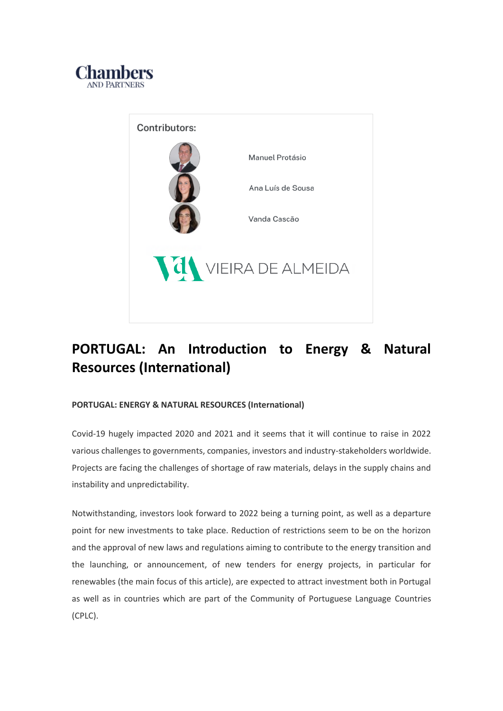



# **PORTUGAL: An Introduction to Energy & Natural Resources (International)**

# **PORTUGAL: ENERGY & NATURAL RESOURCES (International)**

Covid-19 hugely impacted 2020 and 2021 and it seems that it will continue to raise in 2022 various challenges to governments, companies, investors and industry-stakeholders worldwide. Projects are facing the challenges of shortage of raw materials, delays in the supply chains and instability and unpredictability.

Notwithstanding, investors look forward to 2022 being a turning point, as well as a departure point for new investments to take place. Reduction of restrictions seem to be on the horizon and the approval of new laws and regulations aiming to contribute to the energy transition and the launching, or announcement, of new tenders for energy projects, in particular for renewables (the main focus of this article), are expected to attract investment both in Portugal as well as in countries which are part of the Community of Portuguese Language Countries (CPLC).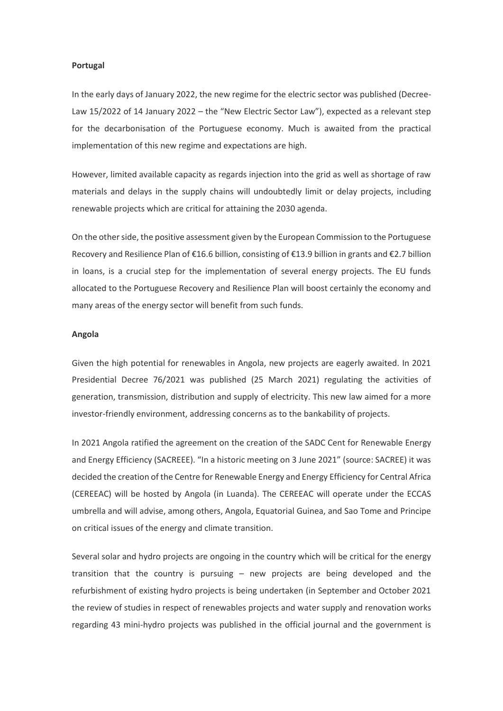#### **Portugal**

In the early days of January 2022, the new regime for the electric sector was published (Decree-Law 15/2022 of 14 January 2022 – the "New Electric Sector Law"), expected as a relevant step for the decarbonisation of the Portuguese economy. Much is awaited from the practical implementation of this new regime and expectations are high.

However, limited available capacity as regards injection into the grid as well as shortage of raw materials and delays in the supply chains will undoubtedly limit or delay projects, including renewable projects which are critical for attaining the 2030 agenda.

On the other side, the positive assessment given by the European Commission to the Portuguese Recovery and Resilience Plan of €16.6 billion, consisting of €13.9 billion in grants and €2.7 billion in loans, is a crucial step for the implementation of several energy projects. The EU funds allocated to the Portuguese Recovery and Resilience Plan will boost certainly the economy and many areas of the energy sector will benefit from such funds.

# **Angola**

Given the high potential for renewables in Angola, new projects are eagerly awaited. In 2021 Presidential Decree 76/2021 was published (25 March 2021) regulating the activities of generation, transmission, distribution and supply of electricity. This new law aimed for a more investor-friendly environment, addressing concerns as to the bankability of projects.

In 2021 Angola ratified the agreement on the creation of the SADC Cent for Renewable Energy and Energy Efficiency (SACREEE). "In a historic meeting on 3 June 2021" (source: SACREE) it was decided the creation of the Centre for Renewable Energy and Energy Efficiency for Central Africa (CEREEAC) will be hosted by Angola (in Luanda). The CEREEAC will operate under the ECCAS umbrella and will advise, among others, Angola, Equatorial Guinea, and Sao Tome and Principe on critical issues of the energy and climate transition.

Several solar and hydro projects are ongoing in the country which will be critical for the energy transition that the country is pursuing – new projects are being developed and the refurbishment of existing hydro projects is being undertaken (in September and October 2021 the review of studies in respect of renewables projects and water supply and renovation works regarding 43 mini-hydro projects was published in the official journal and the government is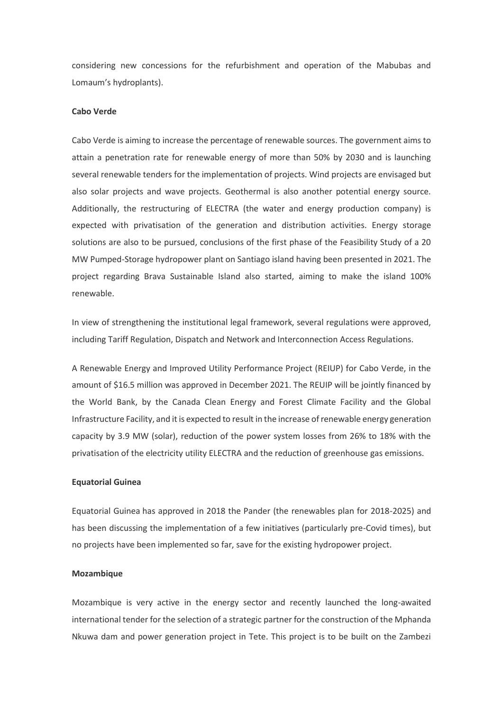considering new concessions for the refurbishment and operation of the Mabubas and Lomaum's hydroplants).

# **Cabo Verde**

Cabo Verde is aiming to increase the percentage of renewable sources. The government aims to attain a penetration rate for renewable energy of more than 50% by 2030 and is launching several renewable tenders for the implementation of projects. Wind projects are envisaged but also solar projects and wave projects. Geothermal is also another potential energy source. Additionally, the restructuring of ELECTRA (the water and energy production company) is expected with privatisation of the generation and distribution activities. Energy storage solutions are also to be pursued, conclusions of the first phase of the Feasibility Study of a 20 MW Pumped-Storage hydropower plant on Santiago island having been presented in 2021. The project regarding Brava Sustainable Island also started, aiming to make the island 100% renewable.

In view of strengthening the institutional legal framework, several regulations were approved, including Tariff Regulation, Dispatch and Network and Interconnection Access Regulations.

A Renewable Energy and Improved Utility Performance Project (REIUP) for Cabo Verde, in the amount of \$16.5 million was approved in December 2021. The REUIP will be jointly financed by the World Bank, by the Canada Clean Energy and Forest Climate Facility and the Global Infrastructure Facility, and it is expected to result in the increase of renewable energy generation capacity by 3.9 MW (solar), reduction of the power system losses from 26% to 18% with the privatisation of the electricity utility ELECTRA and the reduction of greenhouse gas emissions.

#### **Equatorial Guinea**

Equatorial Guinea has approved in 2018 the Pander (the renewables plan for 2018-2025) and has been discussing the implementation of a few initiatives (particularly pre-Covid times), but no projects have been implemented so far, save for the existing hydropower project.

# **Mozambique**

Mozambique is very active in the energy sector and recently launched the long-awaited international tender for the selection of a strategic partner for the construction of the Mphanda Nkuwa dam and power generation project in Tete. This project is to be built on the Zambezi